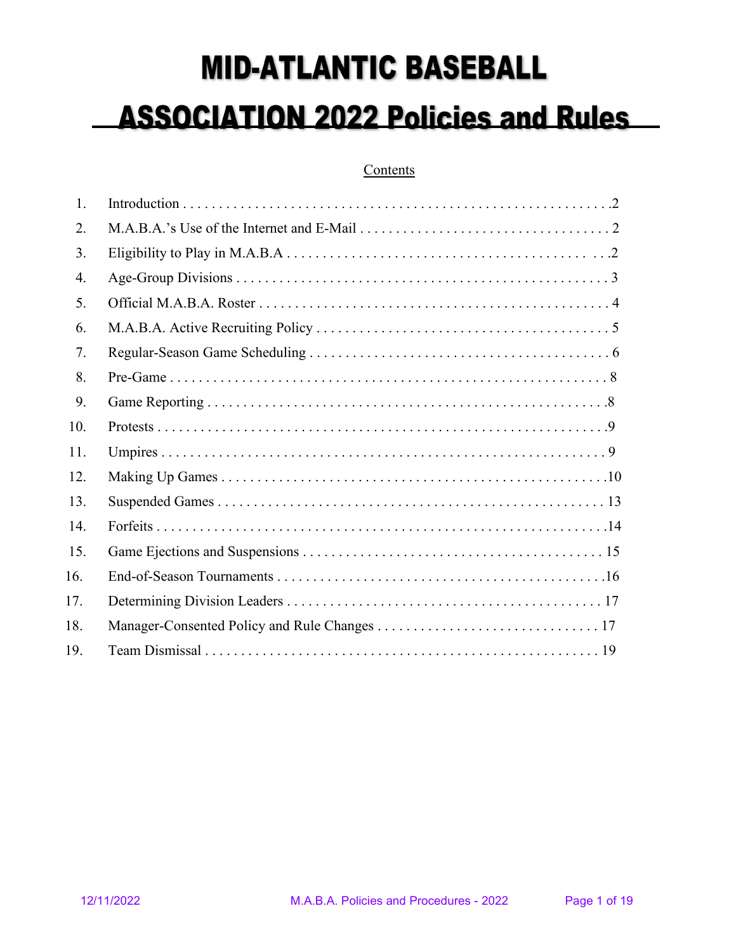# **MID-ATLANTIC BASEBALL ASSOCIATION 2022 Policies and Rules**

# Contents

| 1.  |  |
|-----|--|
| 2.  |  |
| 3.  |  |
| 4.  |  |
| 5.  |  |
| 6.  |  |
| 7.  |  |
| 8.  |  |
| 9.  |  |
| 10. |  |
| 11. |  |
| 12. |  |
| 13. |  |
| 14. |  |
| 15. |  |
| 16. |  |
| 17. |  |
| 18. |  |
| 19. |  |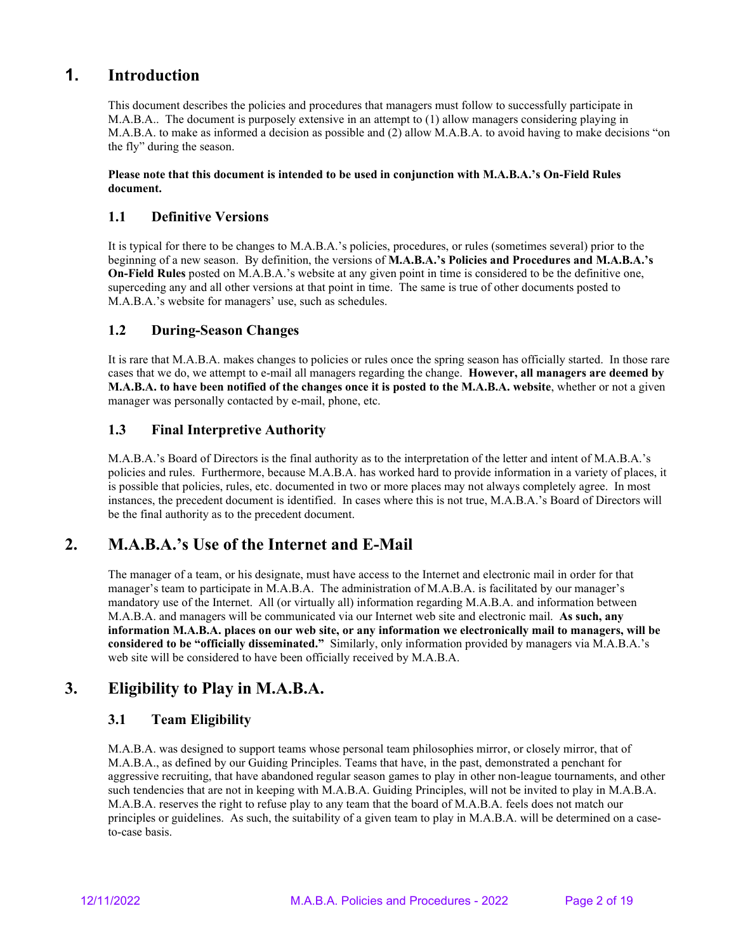# **1. Introduction**

This document describes the policies and procedures that managers must follow to successfully participate in M.A.B.A.. The document is purposely extensive in an attempt to (1) allow managers considering playing in M.A.B.A. to make as informed a decision as possible and (2) allow M.A.B.A. to avoid having to make decisions "on the fly" during the season.

#### **Please note that this document is intended to be used in conjunction with M.A.B.A.'s On-Field Rules document.**

# **1.1 Definitive Versions**

It is typical for there to be changes to M.A.B.A.'s policies, procedures, or rules (sometimes several) prior to the beginning of a new season. By definition, the versions of **M.A.B.A.'s Policies and Procedures and M.A.B.A.'s On-Field Rules** posted on M.A.B.A.'s website at any given point in time is considered to be the definitive one, superceding any and all other versions at that point in time. The same is true of other documents posted to M.A.B.A.'s website for managers' use, such as schedules.

## **1.2 During-Season Changes**

It is rare that M.A.B.A. makes changes to policies or rules once the spring season has officially started. In those rare cases that we do, we attempt to e-mail all managers regarding the change. **However, all managers are deemed by M.A.B.A. to have been notified of the changes once it is posted to the M.A.B.A. website**, whether or not a given manager was personally contacted by e-mail, phone, etc.

## **1.3 Final Interpretive Authority**

M.A.B.A.'s Board of Directors is the final authority as to the interpretation of the letter and intent of M.A.B.A.'s policies and rules. Furthermore, because M.A.B.A. has worked hard to provide information in a variety of places, it is possible that policies, rules, etc. documented in two or more places may not always completely agree. In most instances, the precedent document is identified. In cases where this is not true, M.A.B.A.'s Board of Directors will be the final authority as to the precedent document.

# **2. M.A.B.A.'s Use of the Internet and E-Mail**

The manager of a team, or his designate, must have access to the Internet and electronic mail in order for that manager's team to participate in M.A.B.A. The administration of M.A.B.A. is facilitated by our manager's mandatory use of the Internet. All (or virtually all) information regarding M.A.B.A. and information between M.A.B.A. and managers will be communicated via our Internet web site and electronic mail. **As such, any information M.A.B.A. places on our web site, or any information we electronically mail to managers, will be considered to be "officially disseminated."** Similarly, only information provided by managers via M.A.B.A.'s web site will be considered to have been officially received by M.A.B.A.

# **3. Eligibility to Play in M.A.B.A.**

#### **3.1 Team Eligibility**

M.A.B.A. was designed to support teams whose personal team philosophies mirror, or closely mirror, that of M.A.B.A., as defined by our Guiding Principles. Teams that have, in the past, demonstrated a penchant for aggressive recruiting, that have abandoned regular season games to play in other non-league tournaments, and other such tendencies that are not in keeping with M.A.B.A. Guiding Principles, will not be invited to play in M.A.B.A. M.A.B.A. reserves the right to refuse play to any team that the board of M.A.B.A. feels does not match our principles or guidelines. As such, the suitability of a given team to play in M.A.B.A. will be determined on a caseto-case basis.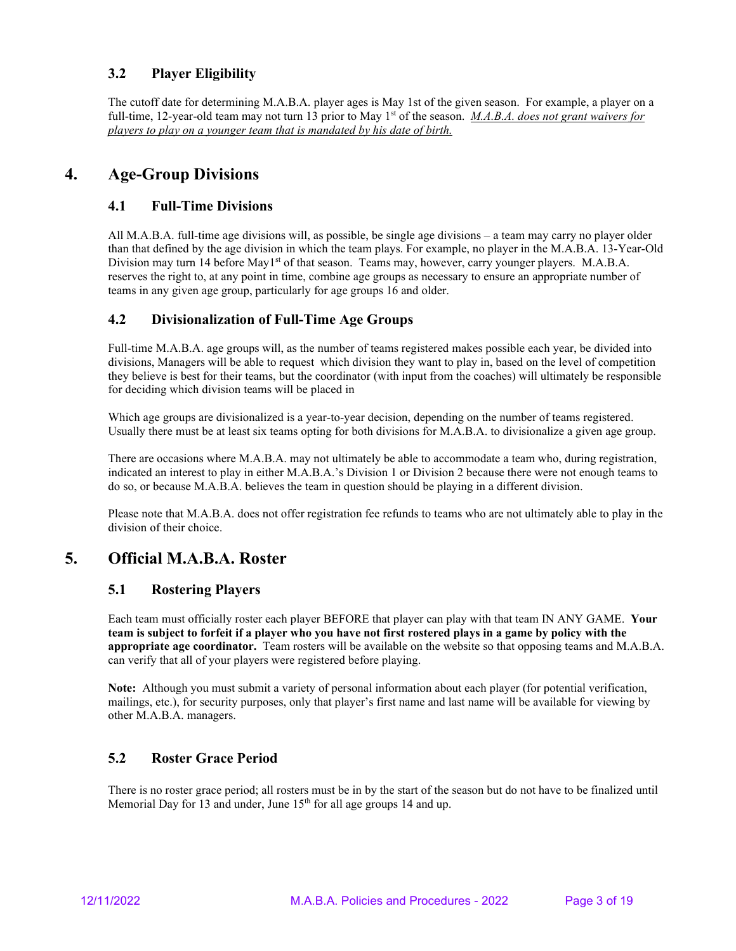# **3.2 Player Eligibility**

The cutoff date for determining M.A.B.A. player ages is May 1st of the given season. For example, a player on a full-time, 12-year-old team may not turn 13 prior to May 1<sup>st</sup> of the season. *M.A.B.A. does not grant waivers for players to play on a younger team that is mandated by his date of birth.*

# **4. Age-Group Divisions**

## **4.1 Full-Time Divisions**

All M.A.B.A. full-time age divisions will, as possible, be single age divisions – a team may carry no player older than that defined by the age division in which the team plays. For example, no player in the M.A.B.A. 13-Year-Old Division may turn 14 before May1<sup>st</sup> of that season. Teams may, however, carry younger players. M.A.B.A. reserves the right to, at any point in time, combine age groups as necessary to ensure an appropriate number of teams in any given age group, particularly for age groups 16 and older.

## **4.2 Divisionalization of Full-Time Age Groups**

Full-time M.A.B.A. age groups will, as the number of teams registered makes possible each year, be divided into divisions, Managers will be able to request which division they want to play in, based on the level of competition they believe is best for their teams, but the coordinator (with input from the coaches) will ultimately be responsible for deciding which division teams will be placed in

Which age groups are divisionalized is a year-to-year decision, depending on the number of teams registered. Usually there must be at least six teams opting for both divisions for M.A.B.A. to divisionalize a given age group.

There are occasions where M.A.B.A. may not ultimately be able to accommodate a team who, during registration, indicated an interest to play in either M.A.B.A.'s Division 1 or Division 2 because there were not enough teams to do so, or because M.A.B.A. believes the team in question should be playing in a different division.

Please note that M.A.B.A. does not offer registration fee refunds to teams who are not ultimately able to play in the division of their choice.

# **5. Official M.A.B.A. Roster**

#### **5.1 Rostering Players**

Each team must officially roster each player BEFORE that player can play with that team IN ANY GAME. **Your team is subject to forfeit if a player who you have not first rostered plays in a game by policy with the appropriate age coordinator.** Team rosters will be available on the website so that opposing teams and M.A.B.A. can verify that all of your players were registered before playing.

**Note:** Although you must submit a variety of personal information about each player (for potential verification, mailings, etc.), for security purposes, only that player's first name and last name will be available for viewing by other M.A.B.A. managers.

#### **5.2 Roster Grace Period**

There is no roster grace period; all rosters must be in by the start of the season but do not have to be finalized until Memorial Day for 13 and under, June  $15<sup>th</sup>$  for all age groups 14 and up.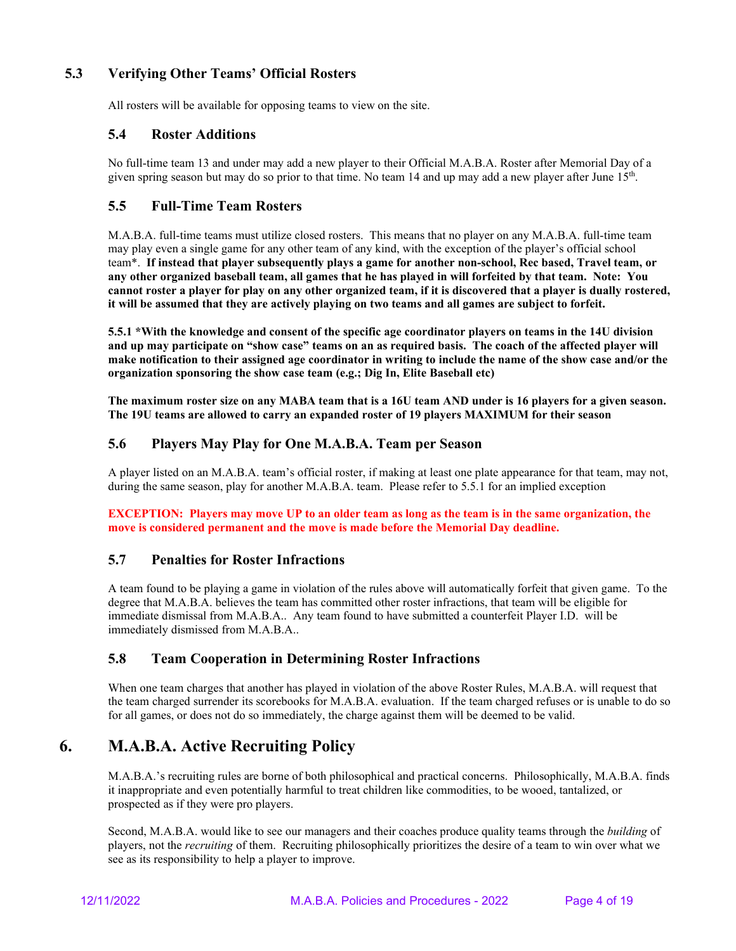# **5.3 Verifying Other Teams' Official Rosters**

All rosters will be available for opposing teams to view on the site.

#### **5.4 Roster Additions**

No full-time team 13 and under may add a new player to their Official M.A.B.A. Roster after Memorial Day of a given spring season but may do so prior to that time. No team 14 and up may add a new player after June  $15<sup>th</sup>$ .

## **5.5 Full-Time Team Rosters**

M.A.B.A. full-time teams must utilize closed rosters. This means that no player on any M.A.B.A. full-time team may play even a single game for any other team of any kind, with the exception of the player's official school team\*. **If instead that player subsequently plays a game for another non-school, Rec based, Travel team, or any other organized baseball team, all games that he has played in will forfeited by that team. Note: You cannot roster a player for play on any other organized team, if it is discovered that a player is dually rostered, it will be assumed that they are actively playing on two teams and all games are subject to forfeit.**

**5.5.1 \*With the knowledge and consent of the specific age coordinator players on teams in the 14U division and up may participate on "show case" teams on an as required basis. The coach of the affected player will make notification to their assigned age coordinator in writing to include the name of the show case and/or the organization sponsoring the show case team (e.g.; Dig In, Elite Baseball etc)** 

**The maximum roster size on any MABA team that is a 16U team AND under is 16 players for a given season. The 19U teams are allowed to carry an expanded roster of 19 players MAXIMUM for their season**

## **5.6 Players May Play for One M.A.B.A. Team per Season**

A player listed on an M.A.B.A. team's official roster, if making at least one plate appearance for that team, may not, during the same season, play for another M.A.B.A. team. Please refer to 5.5.1 for an implied exception

**EXCEPTION: Players may move UP to an older team as long as the team is in the same organization, the move is considered permanent and the move is made before the Memorial Day deadline.**

#### **5.7 Penalties for Roster Infractions**

A team found to be playing a game in violation of the rules above will automatically forfeit that given game. To the degree that M.A.B.A. believes the team has committed other roster infractions, that team will be eligible for immediate dismissal from M.A.B.A.. Any team found to have submitted a counterfeit Player I.D. will be immediately dismissed from M.A.B.A..

#### **5.8 Team Cooperation in Determining Roster Infractions**

When one team charges that another has played in violation of the above Roster Rules, M.A.B.A. will request that the team charged surrender its scorebooks for M.A.B.A. evaluation. If the team charged refuses or is unable to do so for all games, or does not do so immediately, the charge against them will be deemed to be valid.

# **6. M.A.B.A. Active Recruiting Policy**

M.A.B.A.'s recruiting rules are borne of both philosophical and practical concerns. Philosophically, M.A.B.A. finds it inappropriate and even potentially harmful to treat children like commodities, to be wooed, tantalized, or prospected as if they were pro players.

Second, M.A.B.A. would like to see our managers and their coaches produce quality teams through the *building* of players, not the *recruiting* of them. Recruiting philosophically prioritizes the desire of a team to win over what we see as its responsibility to help a player to improve.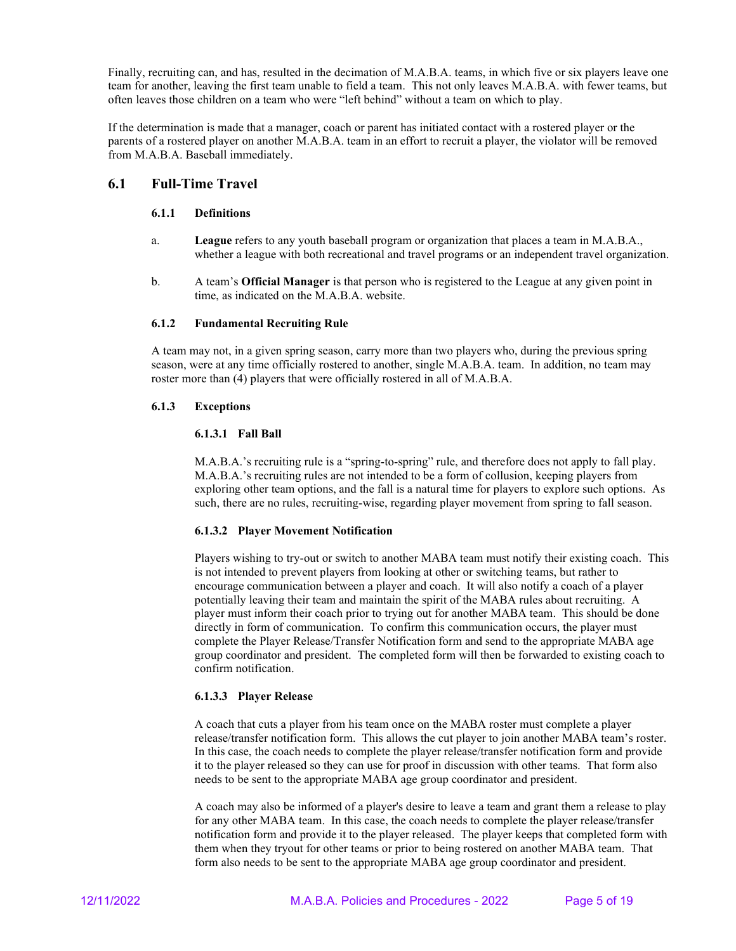Finally, recruiting can, and has, resulted in the decimation of M.A.B.A. teams, in which five or six players leave one team for another, leaving the first team unable to field a team. This not only leaves M.A.B.A. with fewer teams, but often leaves those children on a team who were "left behind" without a team on which to play.

If the determination is made that a manager, coach or parent has initiated contact with a rostered player or the parents of a rostered player on another M.A.B.A. team in an effort to recruit a player, the violator will be removed from M.A.B.A. Baseball immediately.

#### **6.1 Full-Time Travel**

#### **6.1.1 Definitions**

- a. **League** refers to any youth baseball program or organization that places a team in M.A.B.A., whether a league with both recreational and travel programs or an independent travel organization.
- b. A team's **Official Manager** is that person who is registered to the League at any given point in time, as indicated on the M.A.B.A. website.

#### **6.1.2 Fundamental Recruiting Rule**

A team may not, in a given spring season, carry more than two players who, during the previous spring season, were at any time officially rostered to another, single M.A.B.A. team. In addition, no team may roster more than (4) players that were officially rostered in all of M.A.B.A.

#### **6.1.3 Exceptions**

#### **6.1.3.1 Fall Ball**

M.A.B.A.'s recruiting rule is a "spring-to-spring" rule, and therefore does not apply to fall play. M.A.B.A.'s recruiting rules are not intended to be a form of collusion, keeping players from exploring other team options, and the fall is a natural time for players to explore such options. As such, there are no rules, recruiting-wise, regarding player movement from spring to fall season.

#### **6.1.3.2 Player Movement Notification**

Players wishing to try-out or switch to another MABA team must notify their existing coach. This is not intended to prevent players from looking at other or switching teams, but rather to encourage communication between a player and coach. It will also notify a coach of a player potentially leaving their team and maintain the spirit of the MABA rules about recruiting. A player must inform their coach prior to trying out for another MABA team. This should be done directly in form of communication. To confirm this communication occurs, the player must complete the Player Release/Transfer Notification form and send to the appropriate MABA age group coordinator and president. The completed form will then be forwarded to existing coach to confirm notification.

#### **6.1.3.3 Player Release**

A coach that cuts a player from his team once on the MABA roster must complete a player release/transfer notification form. This allows the cut player to join another MABA team's roster. In this case, the coach needs to complete the player release/transfer notification form and provide it to the player released so they can use for proof in discussion with other teams. That form also needs to be sent to the appropriate MABA age group coordinator and president.

A coach may also be informed of a player's desire to leave a team and grant them a release to play for any other MABA team. In this case, the coach needs to complete the player release/transfer notification form and provide it to the player released. The player keeps that completed form with them when they tryout for other teams or prior to being rostered on another MABA team. That form also needs to be sent to the appropriate MABA age group coordinator and president.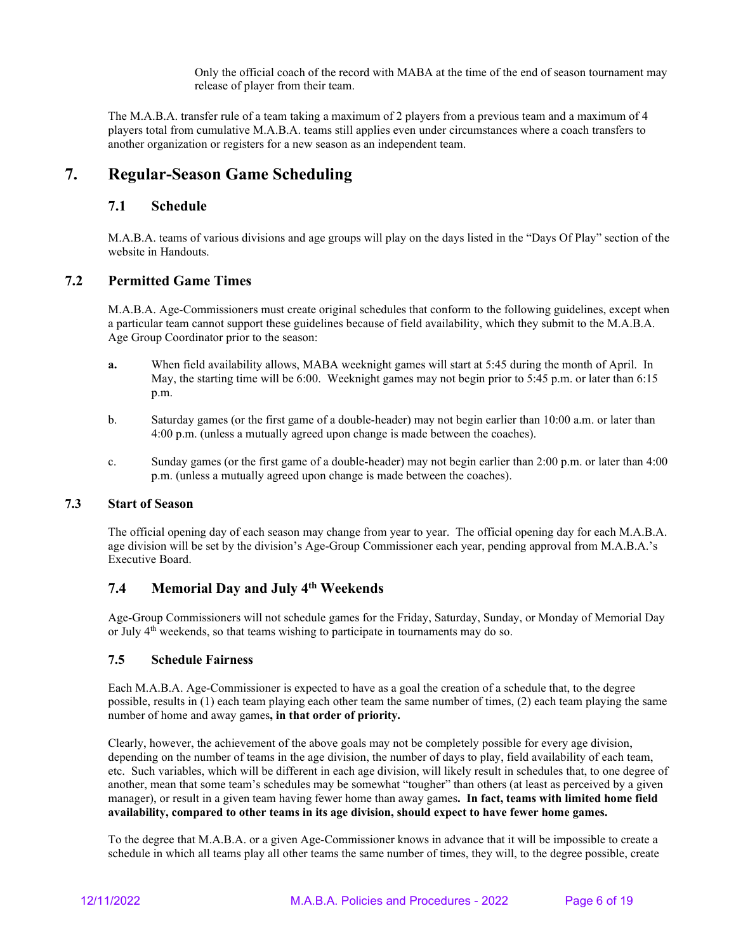Only the official coach of the record with MABA at the time of the end of season tournament may release of player from their team.

The M.A.B.A. transfer rule of a team taking a maximum of 2 players from a previous team and a maximum of 4 players total from cumulative M.A.B.A. teams still applies even under circumstances where a coach transfers to another organization or registers for a new season as an independent team.

# **7. Regular-Season Game Scheduling**

#### **7.1 Schedule**

M.A.B.A. teams of various divisions and age groups will play on the days listed in the "Days Of Play" section of the website in Handouts.

#### **7.2 Permitted Game Times**

M.A.B.A. Age-Commissioners must create original schedules that conform to the following guidelines, except when a particular team cannot support these guidelines because of field availability, which they submit to the M.A.B.A. Age Group Coordinator prior to the season:

- **a.** When field availability allows, MABA weeknight games will start at 5:45 during the month of April. In May, the starting time will be 6:00. Weeknight games may not begin prior to 5:45 p.m. or later than 6:15 p.m.
- b. Saturday games (or the first game of a double-header) may not begin earlier than 10:00 a.m. or later than 4:00 p.m. (unless a mutually agreed upon change is made between the coaches).
- c. Sunday games (or the first game of a double-header) may not begin earlier than 2:00 p.m. or later than 4:00 p.m. (unless a mutually agreed upon change is made between the coaches).

## **7.3 Start of Season**

The official opening day of each season may change from year to year. The official opening day for each M.A.B.A. age division will be set by the division's Age-Group Commissioner each year, pending approval from M.A.B.A.'s Executive Board.

# **7.4 Memorial Day and July 4th Weekends**

Age-Group Commissioners will not schedule games for the Friday, Saturday, Sunday, or Monday of Memorial Day or July  $4<sup>th</sup>$  weekends, so that teams wishing to participate in tournaments may do so.

#### **7.5 Schedule Fairness**

Each M.A.B.A. Age-Commissioner is expected to have as a goal the creation of a schedule that, to the degree possible, results in (1) each team playing each other team the same number of times, (2) each team playing the same number of home and away games**, in that order of priority.**

Clearly, however, the achievement of the above goals may not be completely possible for every age division, depending on the number of teams in the age division, the number of days to play, field availability of each team, etc. Such variables, which will be different in each age division, will likely result in schedules that, to one degree of another, mean that some team's schedules may be somewhat "tougher" than others (at least as perceived by a given manager), or result in a given team having fewer home than away games**. In fact, teams with limited home field availability, compared to other teams in its age division, should expect to have fewer home games.**

To the degree that M.A.B.A. or a given Age-Commissioner knows in advance that it will be impossible to create a schedule in which all teams play all other teams the same number of times, they will, to the degree possible, create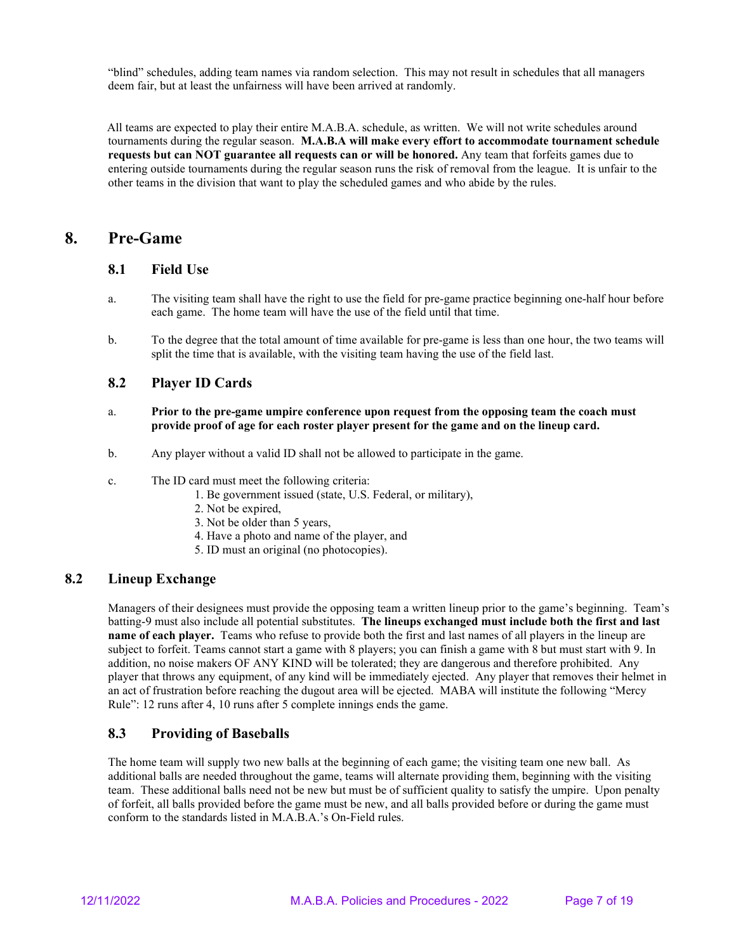"blind" schedules, adding team names via random selection. This may not result in schedules that all managers deem fair, but at least the unfairness will have been arrived at randomly.

 All teams are expected to play their entire M.A.B.A. schedule, as written. We will not write schedules around tournaments during the regular season. **M.A.B.A will make every effort to accommodate tournament schedule requests but can NOT guarantee all requests can or will be honored.** Any team that forfeits games due to entering outside tournaments during the regular season runs the risk of removal from the league. It is unfair to the other teams in the division that want to play the scheduled games and who abide by the rules.

# **8. Pre-Game**

#### **8.1 Field Use**

- a. The visiting team shall have the right to use the field for pre-game practice beginning one-half hour before each game. The home team will have the use of the field until that time.
- b. To the degree that the total amount of time available for pre-game is less than one hour, the two teams will split the time that is available, with the visiting team having the use of the field last.

#### **8.2 Player ID Cards**

- a. **Prior to the pre-game umpire conference upon request from the opposing team the coach must provide proof of age for each roster player present for the game and on the lineup card.**
- b. Any player without a valid ID shall not be allowed to participate in the game.
- c. The ID card must meet the following criteria:
	- 1. Be government issued (state, U.S. Federal, or military),
	- 2. Not be expired,
	- 3. Not be older than 5 years,
	- 4. Have a photo and name of the player, and
	- 5. ID must an original (no photocopies).

#### **8.2 Lineup Exchange**

Managers of their designees must provide the opposing team a written lineup prior to the game's beginning. Team's batting-9 must also include all potential substitutes. **The lineups exchanged must include both the first and last name of each player.** Teams who refuse to provide both the first and last names of all players in the lineup are subject to forfeit. Teams cannot start a game with 8 players; you can finish a game with 8 but must start with 9. In addition, no noise makers OF ANY KIND will be tolerated; they are dangerous and therefore prohibited. Any player that throws any equipment, of any kind will be immediately ejected. Any player that removes their helmet in an act of frustration before reaching the dugout area will be ejected. MABA will institute the following "Mercy Rule": 12 runs after 4, 10 runs after 5 complete innings ends the game.

# **8.3 Providing of Baseballs**

The home team will supply two new balls at the beginning of each game; the visiting team one new ball. As additional balls are needed throughout the game, teams will alternate providing them, beginning with the visiting team. These additional balls need not be new but must be of sufficient quality to satisfy the umpire. Upon penalty of forfeit, all balls provided before the game must be new, and all balls provided before or during the game must conform to the standards listed in M.A.B.A.'s On-Field rules.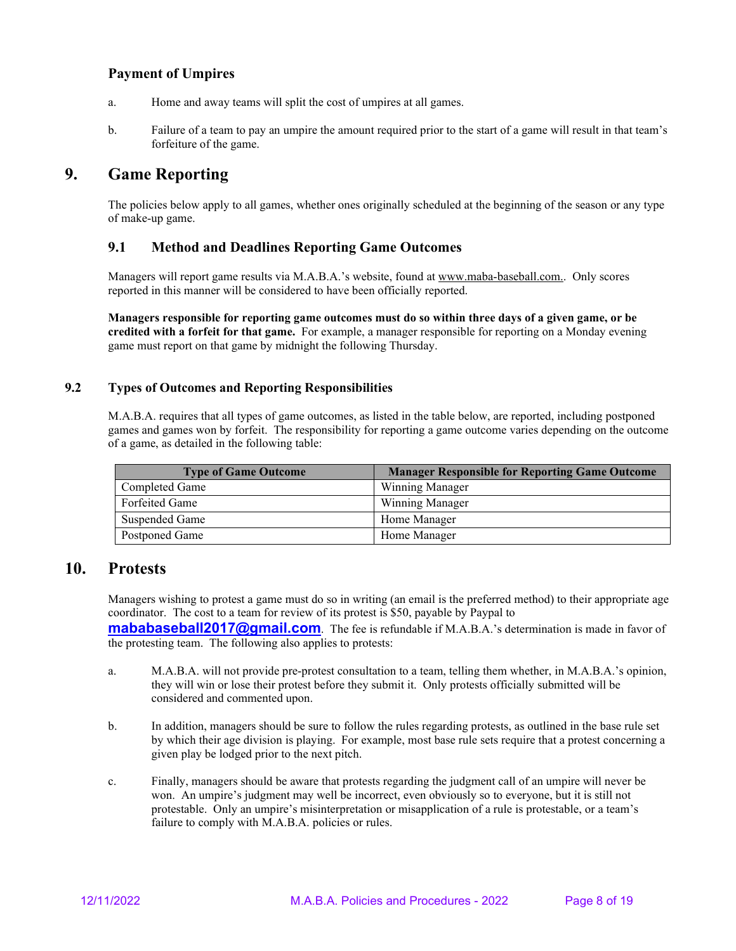## **Payment of Umpires**

- a. Home and away teams will split the cost of umpires at all games.
- b. Failure of a team to pay an umpire the amount required prior to the start of a game will result in that team's forfeiture of the game.

# **9. Game Reporting**

The policies below apply to all games, whether ones originally scheduled at the beginning of the season or any type of make-up game.

## **9.1 Method and Deadlines Reporting Game Outcomes**

Managers will report game results via M.A.B.A.'s website, found a[t www.maba-baseball.com..](http://www.leaguelineup.com/MMTA) Only scores reported in this manner will be considered to have been officially reported.

**Managers responsible for reporting game outcomes must do so within three days of a given game, or be credited with a forfeit for that game.** For example, a manager responsible for reporting on a Monday evening game must report on that game by midnight the following Thursday.

#### **9.2 Types of Outcomes and Reporting Responsibilities**

M.A.B.A. requires that all types of game outcomes, as listed in the table below, are reported, including postponed games and games won by forfeit. The responsibility for reporting a game outcome varies depending on the outcome of a game, as detailed in the following table:

| <b>Type of Game Outcome</b> | <b>Manager Responsible for Reporting Game Outcome</b> |
|-----------------------------|-------------------------------------------------------|
| Completed Game              | Winning Manager                                       |
| Forfeited Game              | <b>Winning Manager</b>                                |
| Suspended Game              | Home Manager                                          |
| Postponed Game              | Home Manager                                          |

# **10. Protests**

Managers wishing to protest a game must do so in writing (an email is the preferred method) to their appropriate age coordinator. The cost to a team for review of its protest is \$50, payable by Paypal to

**[mababaseball2017@gmail.com](mailto:maba2017@gmail.com)**. The fee is refundable if M.A.B.A.'s determination is made in favor of the protesting team. The following also applies to protests:

- a. M.A.B.A. will not provide pre-protest consultation to a team, telling them whether, in M.A.B.A.'s opinion, they will win or lose their protest before they submit it. Only protests officially submitted will be considered and commented upon.
- b. In addition, managers should be sure to follow the rules regarding protests, as outlined in the base rule set by which their age division is playing. For example, most base rule sets require that a protest concerning a given play be lodged prior to the next pitch.
- c. Finally, managers should be aware that protests regarding the judgment call of an umpire will never be won. An umpire's judgment may well be incorrect, even obviously so to everyone, but it is still not protestable. Only an umpire's misinterpretation or misapplication of a rule is protestable, or a team's failure to comply with M.A.B.A. policies or rules.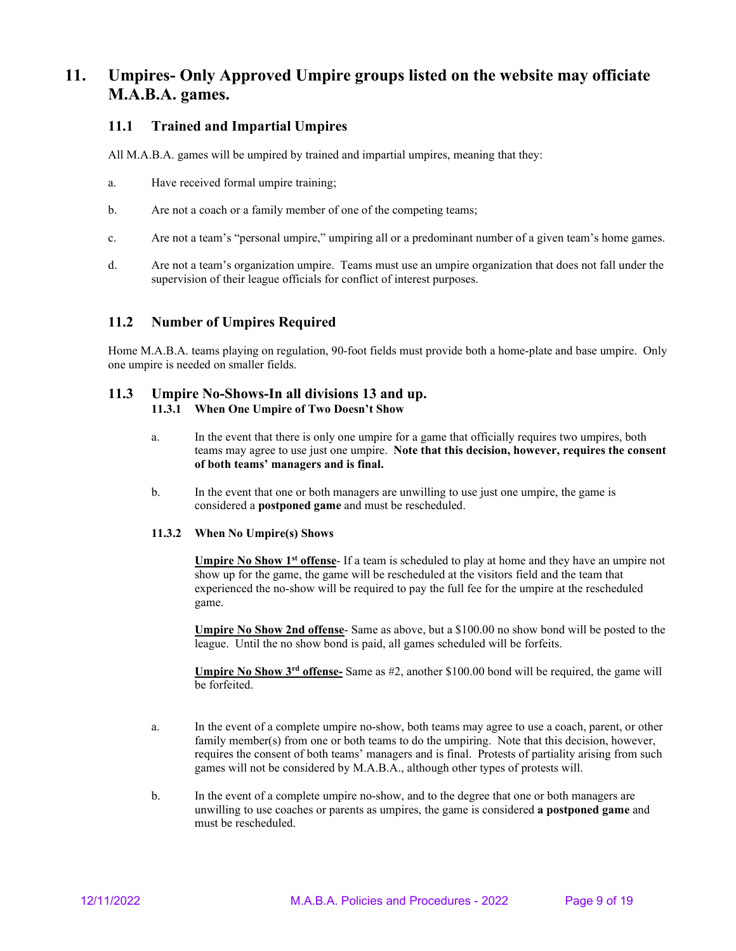# **11. Umpires- Only Approved Umpire groups listed on the website may officiate M.A.B.A. games.**

## **11.1 Trained and Impartial Umpires**

All M.A.B.A. games will be umpired by trained and impartial umpires, meaning that they:

- a. Have received formal umpire training;
- b. Are not a coach or a family member of one of the competing teams;
- c. Are not a team's "personal umpire," umpiring all or a predominant number of a given team's home games.
- d. Are not a team's organization umpire. Teams must use an umpire organization that does not fall under the supervision of their league officials for conflict of interest purposes.

#### **11.2 Number of Umpires Required**

Home M.A.B.A. teams playing on regulation, 90-foot fields must provide both a home-plate and base umpire. Only one umpire is needed on smaller fields.

#### **11.3 Umpire No-Shows-In all divisions 13 and up. 11.3.1 When One Umpire of Two Doesn't Show**

- a. In the event that there is only one umpire for a game that officially requires two umpires, both teams may agree to use just one umpire. **Note that this decision, however, requires the consent of both teams' managers and is final.**
- b. In the event that one or both managers are unwilling to use just one umpire, the game is considered a **postponed game** and must be rescheduled.

#### **11.3.2 When No Umpire(s) Shows**

**Umpire No Show 1st offense**- If a team is scheduled to play at home and they have an umpire not show up for the game, the game will be rescheduled at the visitors field and the team that experienced the no-show will be required to pay the full fee for the umpire at the rescheduled game.

**Umpire No Show 2nd offense**- Same as above, but a \$100.00 no show bond will be posted to the league. Until the no show bond is paid, all games scheduled will be forfeits.

**Umpire No Show 3rd offense-** Same as #2, another \$100.00 bond will be required, the game will be forfeited.

- a. In the event of a complete umpire no-show, both teams may agree to use a coach, parent, or other family member(s) from one or both teams to do the umpiring. Note that this decision, however, requires the consent of both teams' managers and is final. Protests of partiality arising from such games will not be considered by M.A.B.A., although other types of protests will.
- b. In the event of a complete umpire no-show, and to the degree that one or both managers are unwilling to use coaches or parents as umpires, the game is considered **a postponed game** and must be rescheduled.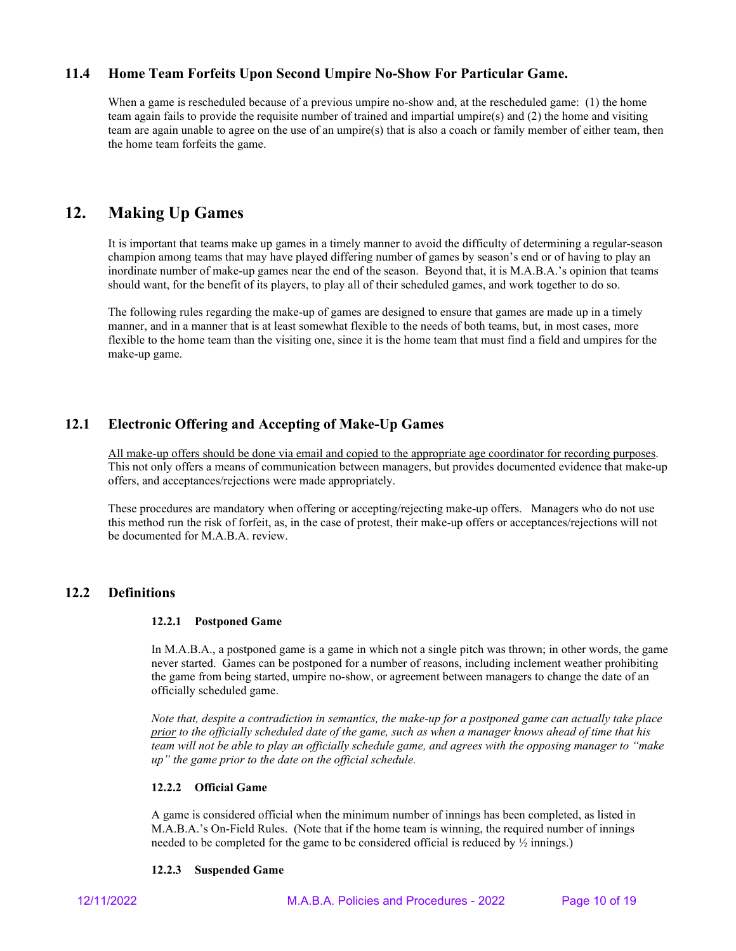## **11.4 Home Team Forfeits Upon Second Umpire No-Show For Particular Game.**

When a game is rescheduled because of a previous umpire no-show and, at the rescheduled game: (1) the home team again fails to provide the requisite number of trained and impartial umpire(s) and (2) the home and visiting team are again unable to agree on the use of an umpire(s) that is also a coach or family member of either team, then the home team forfeits the game.

# **12. Making Up Games**

It is important that teams make up games in a timely manner to avoid the difficulty of determining a regular-season champion among teams that may have played differing number of games by season's end or of having to play an inordinate number of make-up games near the end of the season. Beyond that, it is M.A.B.A.'s opinion that teams should want, for the benefit of its players, to play all of their scheduled games, and work together to do so.

The following rules regarding the make-up of games are designed to ensure that games are made up in a timely manner, and in a manner that is at least somewhat flexible to the needs of both teams, but, in most cases, more flexible to the home team than the visiting one, since it is the home team that must find a field and umpires for the make-up game.

# **12.1 Electronic Offering and Accepting of Make-Up Games**

All make-up offers should be done via email and copied to the appropriate age coordinator for recording purposes. This not only offers a means of communication between managers, but provides documented evidence that make-up offers, and acceptances/rejections were made appropriately.

These procedures are mandatory when offering or accepting/rejecting make-up offers. Managers who do not use this method run the risk of forfeit, as, in the case of protest, their make-up offers or acceptances/rejections will not be documented for M.A.B.A. review.

#### **12.2 Definitions**

#### **12.2.1 Postponed Game**

In M.A.B.A., a postponed game is a game in which not a single pitch was thrown; in other words, the game never started. Games can be postponed for a number of reasons, including inclement weather prohibiting the game from being started, umpire no-show, or agreement between managers to change the date of an officially scheduled game.

*Note that, despite a contradiction in semantics, the make-up for a postponed game can actually take place prior to the officially scheduled date of the game, such as when a manager knows ahead of time that his team will not be able to play an officially schedule game, and agrees with the opposing manager to "make up" the game prior to the date on the official schedule.*

#### **12.2.2 Official Game**

A game is considered official when the minimum number of innings has been completed, as listed in M.A.B.A.'s On-Field Rules. (Note that if the home team is winning, the required number of innings needed to be completed for the game to be considered official is reduced by ½ innings.)

#### **12.2.3 Suspended Game**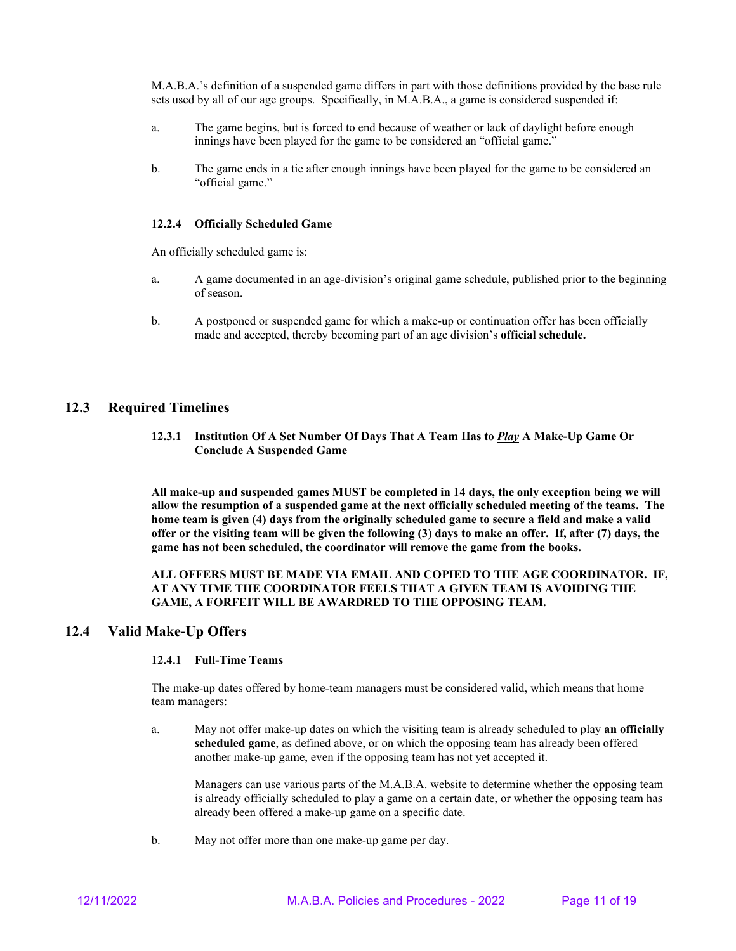M.A.B.A.'s definition of a suspended game differs in part with those definitions provided by the base rule sets used by all of our age groups. Specifically, in M.A.B.A., a game is considered suspended if:

- a. The game begins, but is forced to end because of weather or lack of daylight before enough innings have been played for the game to be considered an "official game."
- b. The game ends in a tie after enough innings have been played for the game to be considered an "official game."

#### **12.2.4 Officially Scheduled Game**

An officially scheduled game is:

- a. A game documented in an age-division's original game schedule, published prior to the beginning of season.
- b. A postponed or suspended game for which a make-up or continuation offer has been officially made and accepted, thereby becoming part of an age division's **official schedule.**

#### **12.3 Required Timelines**

**12.3.1 Institution Of A Set Number Of Days That A Team Has to** *Play* **A Make-Up Game Or Conclude A Suspended Game**

**All make-up and suspended games MUST be completed in 14 days, the only exception being we will allow the resumption of a suspended game at the next officially scheduled meeting of the teams. The home team is given (4) days from the originally scheduled game to secure a field and make a valid offer or the visiting team will be given the following (3) days to make an offer. If, after (7) days, the game has not been scheduled, the coordinator will remove the game from the books.**

#### **ALL OFFERS MUST BE MADE VIA EMAIL AND COPIED TO THE AGE COORDINATOR. IF, AT ANY TIME THE COORDINATOR FEELS THAT A GIVEN TEAM IS AVOIDING THE GAME, A FORFEIT WILL BE AWARDRED TO THE OPPOSING TEAM.**

#### **12.4 Valid Make-Up Offers**

#### **12.4.1 Full-Time Teams**

The make-up dates offered by home-team managers must be considered valid, which means that home team managers:

a. May not offer make-up dates on which the visiting team is already scheduled to play **an officially scheduled game**, as defined above, or on which the opposing team has already been offered another make-up game, even if the opposing team has not yet accepted it.

Managers can use various parts of the M.A.B.A. website to determine whether the opposing team is already officially scheduled to play a game on a certain date, or whether the opposing team has already been offered a make-up game on a specific date.

b. May not offer more than one make-up game per day.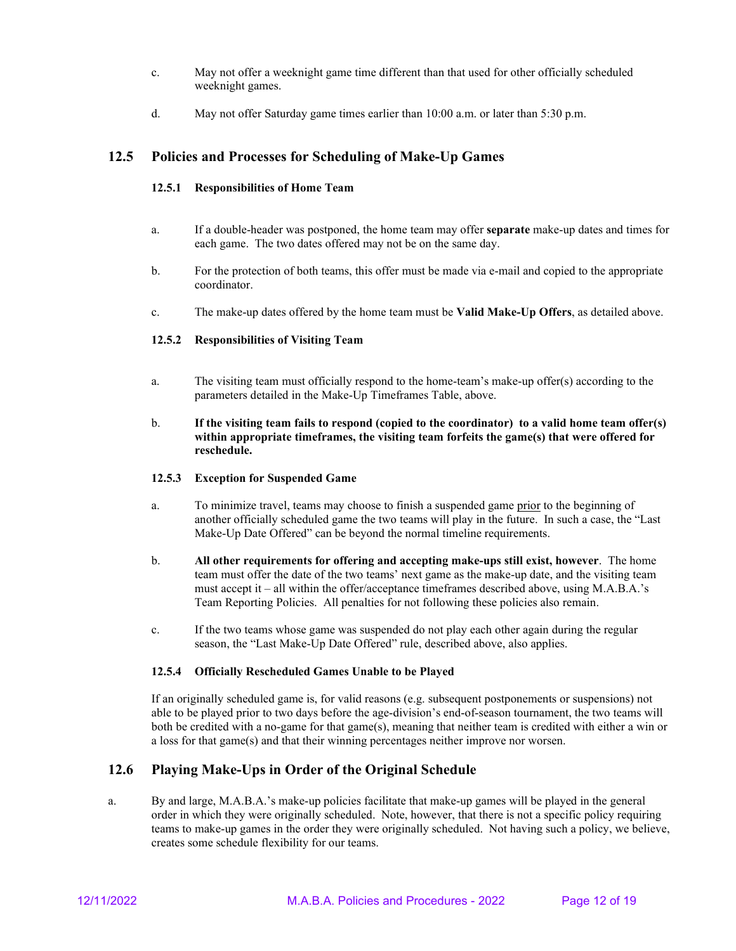- c. May not offer a weeknight game time different than that used for other officially scheduled weeknight games.
- d. May not offer Saturday game times earlier than 10:00 a.m. or later than 5:30 p.m.

## **12.5 Policies and Processes for Scheduling of Make-Up Games**

#### **12.5.1 Responsibilities of Home Team**

- a. If a double-header was postponed, the home team may offer **separate** make-up dates and times for each game. The two dates offered may not be on the same day.
- b. For the protection of both teams, this offer must be made via e-mail and copied to the appropriate coordinator.
- c. The make-up dates offered by the home team must be **Valid Make-Up Offers**, as detailed above.

#### **12.5.2 Responsibilities of Visiting Team**

- a. The visiting team must officially respond to the home-team's make-up offer(s) according to the parameters detailed in the Make-Up Timeframes Table, above.
- b. **If the visiting team fails to respond (copied to the coordinator) to a valid home team offer(s) within appropriate timeframes, the visiting team forfeits the game(s) that were offered for reschedule.**

#### **12.5.3 Exception for Suspended Game**

- a. To minimize travel, teams may choose to finish a suspended game prior to the beginning of another officially scheduled game the two teams will play in the future. In such a case, the "Last Make-Up Date Offered" can be beyond the normal timeline requirements.
- b. **All other requirements for offering and accepting make-ups still exist, however**. The home team must offer the date of the two teams' next game as the make-up date, and the visiting team must accept it – all within the offer/acceptance timeframes described above, using M.A.B.A.'s Team Reporting Policies. All penalties for not following these policies also remain.
- c. If the two teams whose game was suspended do not play each other again during the regular season, the "Last Make-Up Date Offered" rule, described above, also applies.

#### **12.5.4 Officially Rescheduled Games Unable to be Played**

If an originally scheduled game is, for valid reasons (e.g. subsequent postponements or suspensions) not able to be played prior to two days before the age-division's end-of-season tournament, the two teams will both be credited with a no-game for that game(s), meaning that neither team is credited with either a win or a loss for that game(s) and that their winning percentages neither improve nor worsen.

# **12.6 Playing Make-Ups in Order of the Original Schedule**

a. By and large, M.A.B.A.'s make-up policies facilitate that make-up games will be played in the general order in which they were originally scheduled. Note, however, that there is not a specific policy requiring teams to make-up games in the order they were originally scheduled. Not having such a policy, we believe, creates some schedule flexibility for our teams.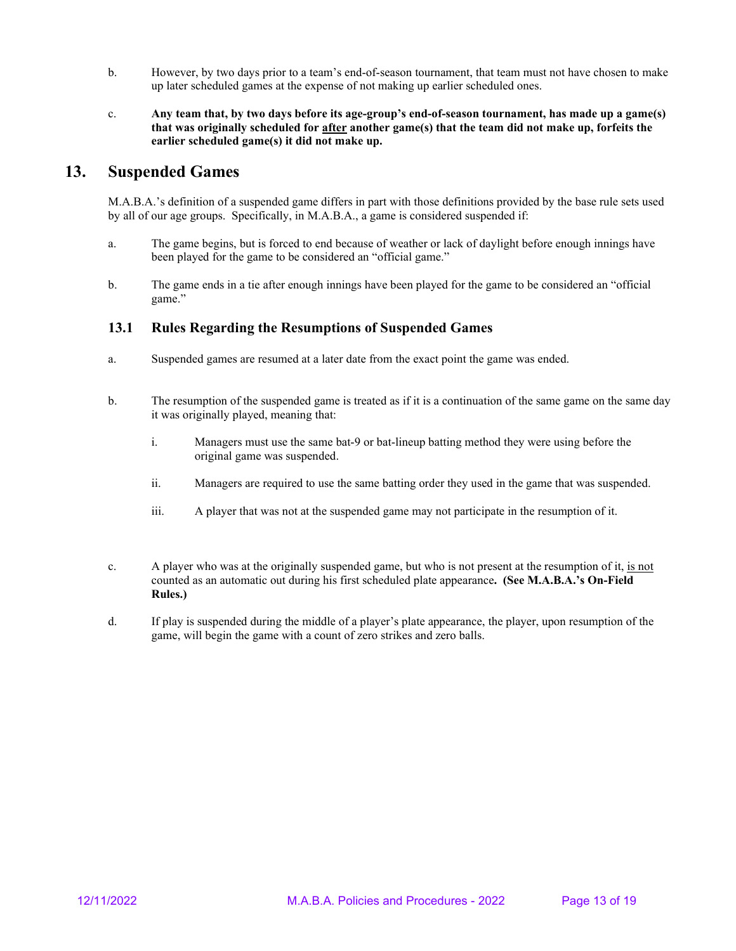- b. However, by two days prior to a team's end-of-season tournament, that team must not have chosen to make up later scheduled games at the expense of not making up earlier scheduled ones.
- c. **Any team that, by two days before its age-group's end-of-season tournament, has made up a game(s) that was originally scheduled for after another game(s) that the team did not make up, forfeits the earlier scheduled game(s) it did not make up.**

# **13. Suspended Games**

M.A.B.A.'s definition of a suspended game differs in part with those definitions provided by the base rule sets used by all of our age groups. Specifically, in M.A.B.A., a game is considered suspended if:

- a. The game begins, but is forced to end because of weather or lack of daylight before enough innings have been played for the game to be considered an "official game."
- b. The game ends in a tie after enough innings have been played for the game to be considered an "official game."

#### **13.1 Rules Regarding the Resumptions of Suspended Games**

- a. Suspended games are resumed at a later date from the exact point the game was ended.
- b. The resumption of the suspended game is treated as if it is a continuation of the same game on the same day it was originally played, meaning that:
	- i. Managers must use the same bat-9 or bat-lineup batting method they were using before the original game was suspended.
	- ii. Managers are required to use the same batting order they used in the game that was suspended.
	- iii. A player that was not at the suspended game may not participate in the resumption of it.
- c. A player who was at the originally suspended game, but who is not present at the resumption of it, is not counted as an automatic out during his first scheduled plate appearance**. (See M.A.B.A.'s On-Field Rules.)**
- d. If play is suspended during the middle of a player's plate appearance, the player, upon resumption of the game, will begin the game with a count of zero strikes and zero balls.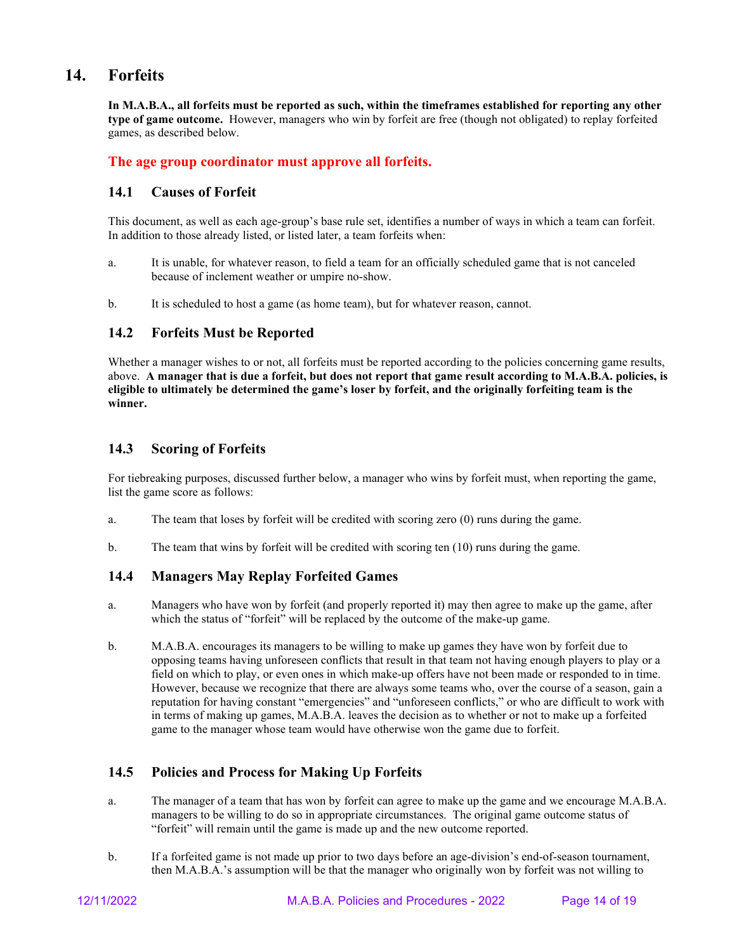# **14. Forfeits**

**In M.A.B.A., all forfeits must be reported as such, within the timeframes established for reporting any other type of game outcome.** However, managers who win by forfeit are free (though not obligated) to replay forfeited games, as described below.

## **The age group coordinator must approve all forfeits.**

#### **14.1 Causes of Forfeit**

This document, as well as each age-group's base rule set, identifies a number of ways in which a team can forfeit. In addition to those already listed, or listed later, a team forfeits when:

- a. It is unable, for whatever reason, to field a team for an officially scheduled game that is not canceled because of inclement weather or umpire no-show.
- b. It is scheduled to host a game (as home team), but for whatever reason, cannot.

## **14.2 Forfeits Must be Reported**

Whether a manager wishes to or not, all forfeits must be reported according to the policies concerning game results, above. **A manager that is due a forfeit, but does not report that game result according to M.A.B.A. policies, is eligible to ultimately be determined the game's loser by forfeit, and the originally forfeiting team is the winner.**

## **14.3 Scoring of Forfeits**

For tiebreaking purposes, discussed further below, a manager who wins by forfeit must, when reporting the game, list the game score as follows:

- a. The team that loses by forfeit will be credited with scoring zero (0) runs during the game.
- b. The team that wins by forfeit will be credited with scoring ten  $(10)$  runs during the game.

## **14.4 Managers May Replay Forfeited Games**

- a. Managers who have won by forfeit (and properly reported it) may then agree to make up the game, after which the status of "forfeit" will be replaced by the outcome of the make-up game.
- b. M.A.B.A. encourages its managers to be willing to make up games they have won by forfeit due to opposing teams having unforeseen conflicts that result in that team not having enough players to play or a field on which to play, or even ones in which make-up offers have not been made or responded to in time. However, because we recognize that there are always some teams who, over the course of a season, gain a reputation for having constant "emergencies" and "unforeseen conflicts," or who are difficult to work with in terms of making up games, M.A.B.A. leaves the decision as to whether or not to make up a forfeited game to the manager whose team would have otherwise won the game due to forfeit.

# **14.5 Policies and Process for Making Up Forfeits**

- a. The manager of a team that has won by forfeit can agree to make up the game and we encourage M.A.B.A. managers to be willing to do so in appropriate circumstances. The original game outcome status of "forfeit" will remain until the game is made up and the new outcome reported.
- b. If a forfeited game is not made up prior to two days before an age-division's end-of-season tournament, then M.A.B.A.'s assumption will be that the manager who originally won by forfeit was not willing to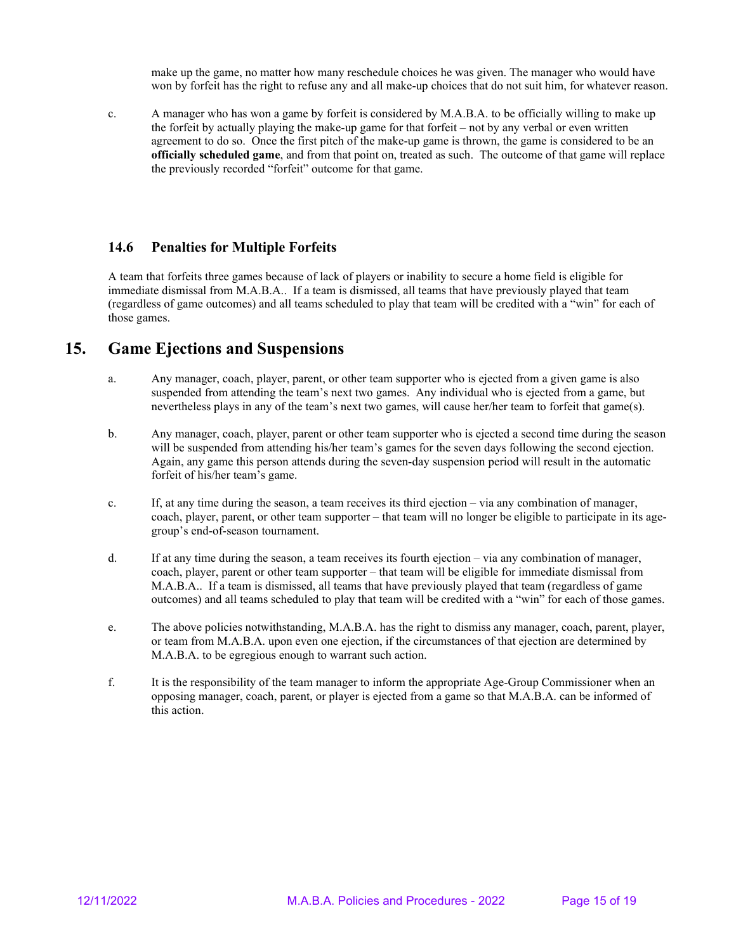make up the game, no matter how many reschedule choices he was given. The manager who would have won by forfeit has the right to refuse any and all make-up choices that do not suit him, for whatever reason.

c. A manager who has won a game by forfeit is considered by M.A.B.A. to be officially willing to make up the forfeit by actually playing the make-up game for that forfeit – not by any verbal or even written agreement to do so. Once the first pitch of the make-up game is thrown, the game is considered to be an **officially scheduled game**, and from that point on, treated as such. The outcome of that game will replace the previously recorded "forfeit" outcome for that game.

## **14.6 Penalties for Multiple Forfeits**

A team that forfeits three games because of lack of players or inability to secure a home field is eligible for immediate dismissal from M.A.B.A.. If a team is dismissed, all teams that have previously played that team (regardless of game outcomes) and all teams scheduled to play that team will be credited with a "win" for each of those games.

# **15. Game Ejections and Suspensions**

- a. Any manager, coach, player, parent, or other team supporter who is ejected from a given game is also suspended from attending the team's next two games. Any individual who is ejected from a game, but nevertheless plays in any of the team's next two games, will cause her/her team to forfeit that game(s).
- b. Any manager, coach, player, parent or other team supporter who is ejected a second time during the season will be suspended from attending his/her team's games for the seven days following the second ejection. Again, any game this person attends during the seven-day suspension period will result in the automatic forfeit of his/her team's game.
- c. If, at any time during the season, a team receives its third ejection via any combination of manager, coach, player, parent, or other team supporter – that team will no longer be eligible to participate in its agegroup's end-of-season tournament.
- d. If at any time during the season, a team receives its fourth ejection via any combination of manager, coach, player, parent or other team supporter – that team will be eligible for immediate dismissal from M.A.B.A.. If a team is dismissed, all teams that have previously played that team (regardless of game outcomes) and all teams scheduled to play that team will be credited with a "win" for each of those games.
- e. The above policies notwithstanding, M.A.B.A. has the right to dismiss any manager, coach, parent, player, or team from M.A.B.A. upon even one ejection, if the circumstances of that ejection are determined by M.A.B.A. to be egregious enough to warrant such action.
- f. It is the responsibility of the team manager to inform the appropriate Age-Group Commissioner when an opposing manager, coach, parent, or player is ejected from a game so that M.A.B.A. can be informed of this action.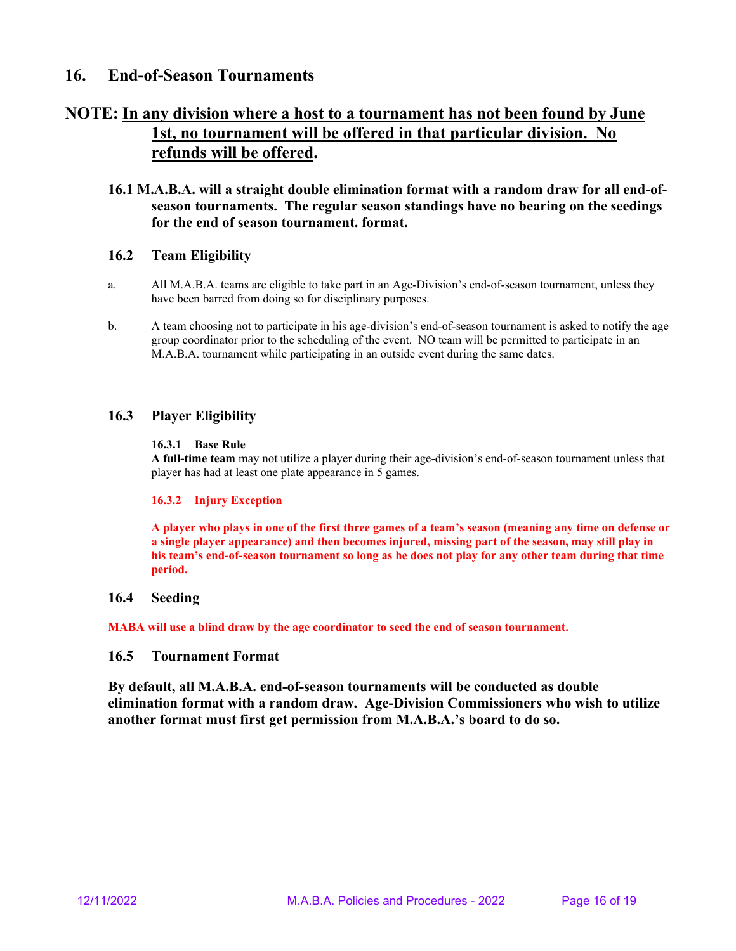# **16. End-of-Season Tournaments**

# **NOTE: In any division where a host to a tournament has not been found by June 1st, no tournament will be offered in that particular division. No refunds will be offered.**

## **16.1 M.A.B.A. will a straight double elimination format with a random draw for all end-ofseason tournaments. The regular season standings have no bearing on the seedings for the end of season tournament. format.**

## **16.2 Team Eligibility**

- a. All M.A.B.A. teams are eligible to take part in an Age-Division's end-of-season tournament, unless they have been barred from doing so for disciplinary purposes.
- b. A team choosing not to participate in his age-division's end-of-season tournament is asked to notify the age group coordinator prior to the scheduling of the event. NO team will be permitted to participate in an M.A.B.A. tournament while participating in an outside event during the same dates.

## **16.3 Player Eligibility**

#### **16.3.1 Base Rule**

**A full-time team** may not utilize a player during their age-division's end-of-season tournament unless that player has had at least one plate appearance in 5 games.

#### **16.3.2 Injury Exception**

**A player who plays in one of the first three games of a team's season (meaning any time on defense or a single player appearance) and then becomes injured, missing part of the season, may still play in his team's end-of-season tournament so long as he does not play for any other team during that time period.**

#### **16.4 Seeding**

**MABA will use a blind draw by the age coordinator to seed the end of season tournament.**

#### **16.5 Tournament Format**

**By default, all M.A.B.A. end-of-season tournaments will be conducted as double elimination format with a random draw. Age-Division Commissioners who wish to utilize another format must first get permission from M.A.B.A.'s board to do so.**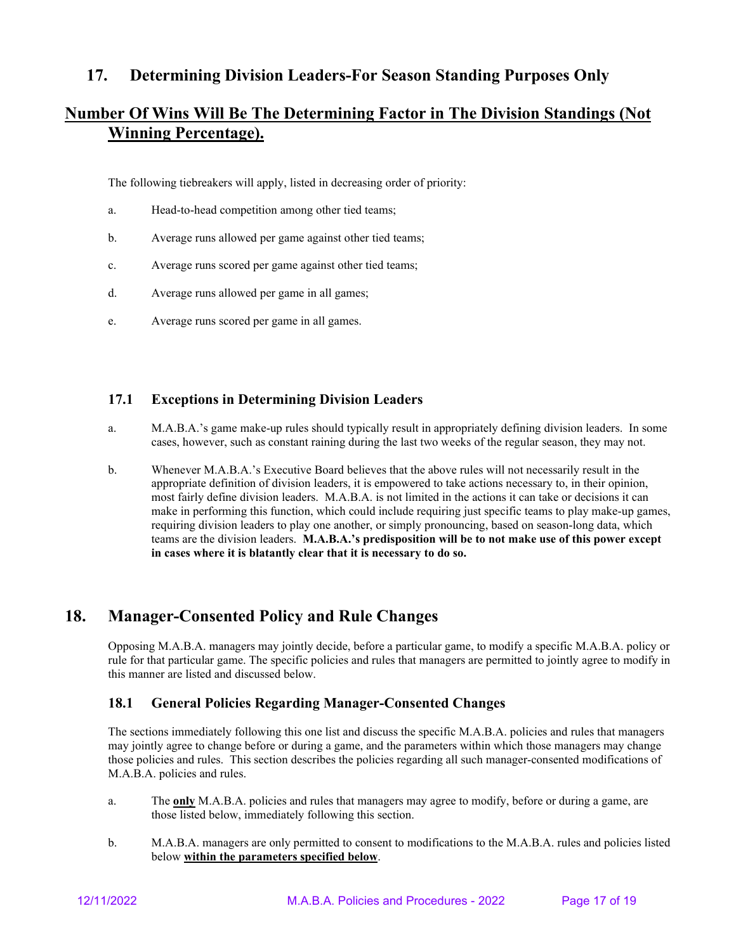# **17. Determining Division Leaders-For Season Standing Purposes Only**

# **Number Of Wins Will Be The Determining Factor in The Division Standings (Not Winning Percentage).**

The following tiebreakers will apply, listed in decreasing order of priority:

- a. Head-to-head competition among other tied teams;
- b. Average runs allowed per game against other tied teams;
- c. Average runs scored per game against other tied teams;
- d. Average runs allowed per game in all games;
- e. Average runs scored per game in all games.

# **17.1 Exceptions in Determining Division Leaders**

- a. M.A.B.A.'s game make-up rules should typically result in appropriately defining division leaders. In some cases, however, such as constant raining during the last two weeks of the regular season, they may not.
- b. Whenever M.A.B.A.'s Executive Board believes that the above rules will not necessarily result in the appropriate definition of division leaders, it is empowered to take actions necessary to, in their opinion, most fairly define division leaders. M.A.B.A. is not limited in the actions it can take or decisions it can make in performing this function, which could include requiring just specific teams to play make-up games, requiring division leaders to play one another, or simply pronouncing, based on season-long data, which teams are the division leaders. **M.A.B.A.'s predisposition will be to not make use of this power except in cases where it is blatantly clear that it is necessary to do so.**

# **18. Manager-Consented Policy and Rule Changes**

Opposing M.A.B.A. managers may jointly decide, before a particular game, to modify a specific M.A.B.A. policy or rule for that particular game. The specific policies and rules that managers are permitted to jointly agree to modify in this manner are listed and discussed below.

# **18.1 General Policies Regarding Manager-Consented Changes**

The sections immediately following this one list and discuss the specific M.A.B.A. policies and rules that managers may jointly agree to change before or during a game, and the parameters within which those managers may change those policies and rules. This section describes the policies regarding all such manager-consented modifications of M.A.B.A. policies and rules.

- a. The **only** M.A.B.A. policies and rules that managers may agree to modify, before or during a game, are those listed below, immediately following this section.
- b. M.A.B.A. managers are only permitted to consent to modifications to the M.A.B.A. rules and policies listed below **within the parameters specified below**.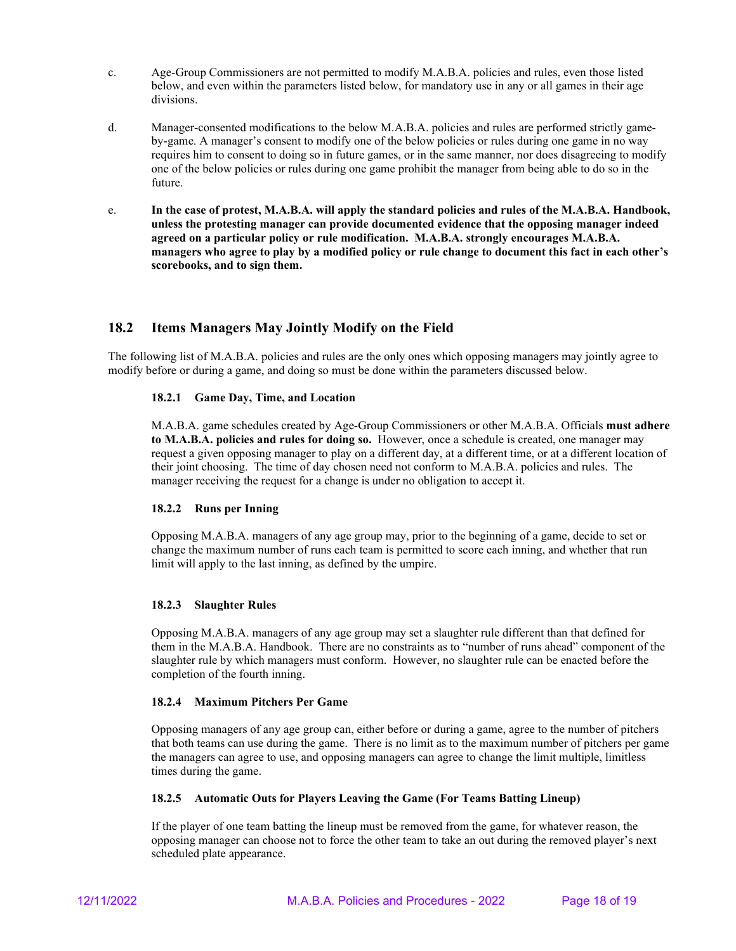- c. Age-Group Commissioners are not permitted to modify M.A.B.A. policies and rules, even those listed below, and even within the parameters listed below, for mandatory use in any or all games in their age divisions.
- d. Manager-consented modifications to the below M.A.B.A. policies and rules are performed strictly gameby-game. A manager's consent to modify one of the below policies or rules during one game in no way requires him to consent to doing so in future games, or in the same manner, nor does disagreeing to modify one of the below policies or rules during one game prohibit the manager from being able to do so in the future.
- e. **In the case of protest, M.A.B.A. will apply the standard policies and rules of the M.A.B.A. Handbook, unless the protesting manager can provide documented evidence that the opposing manager indeed agreed on a particular policy or rule modification. M.A.B.A. strongly encourages M.A.B.A. managers who agree to play by a modified policy or rule change to document this fact in each other's scorebooks, and to sign them.**

# **18.2 Items Managers May Jointly Modify on the Field**

The following list of M.A.B.A. policies and rules are the only ones which opposing managers may jointly agree to modify before or during a game, and doing so must be done within the parameters discussed below.

#### **18.2.1 Game Day, Time, and Location**

M.A.B.A. game schedules created by Age-Group Commissioners or other M.A.B.A. Officials **must adhere to M.A.B.A. policies and rules for doing so.** However, once a schedule is created, one manager may request a given opposing manager to play on a different day, at a different time, or at a different location of their joint choosing. The time of day chosen need not conform to M.A.B.A. policies and rules. The manager receiving the request for a change is under no obligation to accept it.

#### **18.2.2 Runs per Inning**

Opposing M.A.B.A. managers of any age group may, prior to the beginning of a game, decide to set or change the maximum number of runs each team is permitted to score each inning, and whether that run limit will apply to the last inning, as defined by the umpire.

#### **18.2.3 Slaughter Rules**

Opposing M.A.B.A. managers of any age group may set a slaughter rule different than that defined for them in the M.A.B.A. Handbook. There are no constraints as to "number of runs ahead" component of the slaughter rule by which managers must conform. However, no slaughter rule can be enacted before the completion of the fourth inning.

#### **18.2.4 Maximum Pitchers Per Game**

Opposing managers of any age group can, either before or during a game, agree to the number of pitchers that both teams can use during the game. There is no limit as to the maximum number of pitchers per game the managers can agree to use, and opposing managers can agree to change the limit multiple, limitless times during the game.

#### **18.2.5 Automatic Outs for Players Leaving the Game (For Teams Batting Lineup)**

If the player of one team batting the lineup must be removed from the game, for whatever reason, the opposing manager can choose not to force the other team to take an out during the removed player's next scheduled plate appearance.